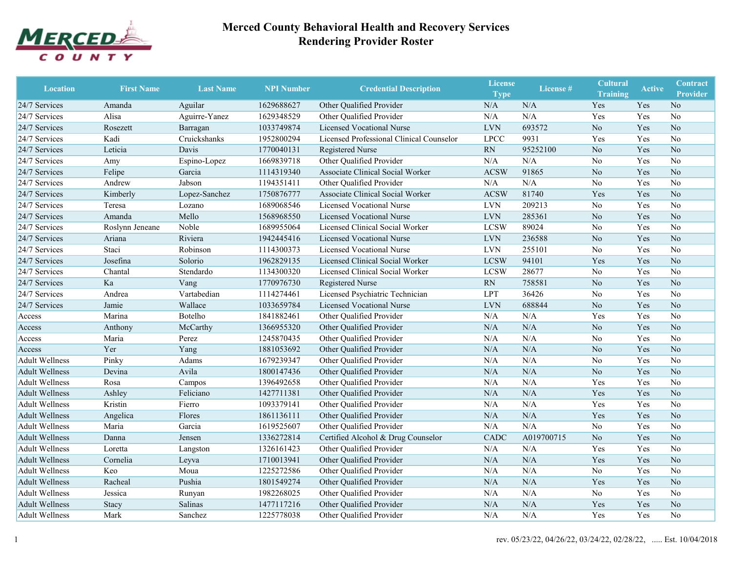

| <b>Location</b>       | <b>First Name</b> | <b>Last Name</b> | <b>NPI Number</b> | <b>Credential Description</b>            | <b>License</b><br><b>Type</b> | License <sup>#</sup> | <b>Cultural</b><br><b>Training</b> | <b>Active</b> | <b>Contract</b><br><b>Provider</b> |
|-----------------------|-------------------|------------------|-------------------|------------------------------------------|-------------------------------|----------------------|------------------------------------|---------------|------------------------------------|
| 24/7 Services         | Amanda            | Aguilar          | 1629688627        | Other Qualified Provider                 | N/A                           | N/A                  | Yes                                | Yes           | N <sub>o</sub>                     |
| 24/7 Services         | Alisa             | Aguirre-Yanez    | 1629348529        | Other Qualified Provider                 | N/A                           | N/A                  | Yes                                | Yes           | N <sub>o</sub>                     |
| 24/7 Services         | Rosezett          | Barragan         | 1033749874        | Licensed Vocational Nurse                | <b>LVN</b>                    | 693572               | N <sub>o</sub>                     | Yes           | No                                 |
| 24/7 Services         | Kadi              | Cruickshanks     | 1952800294        | Licensed Professional Clinical Counselor | <b>LPCC</b>                   | 9931                 | Yes                                | Yes           | No                                 |
| 24/7 Services         | Leticia           | Davis            | 1770040131        | Registered Nurse                         | <b>RN</b>                     | 95252100             | No                                 | Yes           | N <sub>o</sub>                     |
| 24/7 Services         | Amy               | Espino-Lopez     | 1669839718        | Other Qualified Provider                 | N/A                           | N/A                  | No                                 | Yes           | N <sub>o</sub>                     |
| 24/7 Services         | Felipe            | Garcia           | 1114319340        | <b>Associate Clinical Social Worker</b>  | <b>ACSW</b>                   | 91865                | No                                 | Yes           | No                                 |
| 24/7 Services         | Andrew            | Jabson           | 1194351411        | Other Qualified Provider                 | N/A                           | N/A                  | No                                 | Yes           | No                                 |
| 24/7 Services         | Kimberly          | Lopez-Sanchez    | 1750876777        | Associate Clinical Social Worker         | <b>ACSW</b>                   | 81740                | Yes                                | Yes           | No                                 |
| 24/7 Services         | Teresa            | Lozano           | 1689068546        | Licensed Vocational Nurse                | <b>LVN</b>                    | 209213               | No                                 | Yes           | No                                 |
| 24/7 Services         | Amanda            | Mello            | 1568968550        | <b>Licensed Vocational Nurse</b>         | <b>LVN</b>                    | 285361               | N <sub>o</sub>                     | Yes           | No                                 |
| 24/7 Services         | Roslynn Jeneane   | Noble            | 1689955064        | Licensed Clinical Social Worker          | <b>LCSW</b>                   | 89024                | No                                 | Yes           | No                                 |
| 24/7 Services         | Ariana            | Riviera          | 1942445416        | <b>Licensed Vocational Nurse</b>         | <b>LVN</b>                    | 236588               | N <sub>o</sub>                     | Yes           | No                                 |
| 24/7 Services         | Staci             | Robinson         | 1114300373        | <b>Licensed Vocational Nurse</b>         | <b>LVN</b>                    | 255101               | No                                 | Yes           | No                                 |
| 24/7 Services         | Josefina          | Solorio          | 1962829135        | Licensed Clinical Social Worker          | <b>LCSW</b>                   | 94101                | Yes                                | Yes           | No                                 |
| 24/7 Services         | Chantal           | Stendardo        | 1134300320        | Licensed Clinical Social Worker          | <b>LCSW</b>                   | 28677                | No                                 | Yes           | N <sub>o</sub>                     |
| 24/7 Services         | Ka                | Vang             | 1770976730        | Registered Nurse                         | RN                            | 758581               | No                                 | Yes           | No                                 |
| 24/7 Services         | Andrea            | Vartabedian      | 1114274461        | Licensed Psychiatric Technician          | <b>LPT</b>                    | 36426                | No                                 | Yes           | No                                 |
| 24/7 Services         | Jamie             | Wallace          | 1033659784        | <b>Licensed Vocational Nurse</b>         | <b>LVN</b>                    | 688844               | No                                 | Yes           | N <sub>o</sub>                     |
| Access                | Marina            | Botelho          | 1841882461        | Other Qualified Provider                 | N/A                           | N/A                  | Yes                                | Yes           | No                                 |
| Access                | Anthony           | McCarthy         | 1366955320        | Other Qualified Provider                 | N/A                           | N/A                  | No                                 | Yes           | No                                 |
| Access                | Maria             | Perez            | 1245870435        | Other Qualified Provider                 | N/A                           | N/A                  | No                                 | Yes           | No                                 |
| Access                | Yer               | Yang             | 1881053692        | Other Qualified Provider                 | N/A                           | N/A                  | No                                 | Yes           | N <sub>o</sub>                     |
| <b>Adult Wellness</b> | Pinky             | Adams            | 1679239347        | Other Qualified Provider                 | N/A                           | N/A                  | No                                 | Yes           | N <sub>o</sub>                     |
| <b>Adult Wellness</b> | Devina            | Avila            | 1800147436        | Other Qualified Provider                 | N/A                           | N/A                  | No                                 | Yes           | No                                 |
| <b>Adult Wellness</b> | Rosa              | Campos           | 1396492658        | Other Qualified Provider                 | N/A                           | N/A                  | Yes                                | Yes           | No                                 |
| <b>Adult Wellness</b> | Ashley            | Feliciano        | 1427711381        | Other Qualified Provider                 | N/A                           | N/A                  | Yes                                | Yes           | No                                 |
| <b>Adult Wellness</b> | Kristin           | Fierro           | 1093379141        | Other Qualified Provider                 | N/A                           | N/A                  | Yes                                | Yes           | No                                 |
| <b>Adult Wellness</b> | Angelica          | Flores           | 1861136111        | Other Qualified Provider                 | N/A                           | N/A                  | Yes                                | Yes           | No                                 |
| <b>Adult Wellness</b> | Maria             | Garcia           | 1619525607        | Other Qualified Provider                 | N/A                           | N/A                  | No                                 | Yes           | No                                 |
| <b>Adult Wellness</b> | Danna             | Jensen           | 1336272814        | Certified Alcohol & Drug Counselor       | CADC                          | A019700715           | N <sub>o</sub>                     | Yes           | No                                 |
| <b>Adult Wellness</b> | Loretta           | Langston         | 1326161423        | Other Qualified Provider                 | N/A                           | N/A                  | Yes                                | Yes           | No                                 |
| <b>Adult Wellness</b> | Cornelia          | Leyva            | 1710013941        | Other Qualified Provider                 | N/A                           | N/A                  | Yes                                | Yes           | No                                 |
| <b>Adult Wellness</b> | Keo               | Moua             | 1225272586        | Other Qualified Provider                 | N/A                           | $\rm N/A$            | $\rm No$                           | Yes           | No                                 |
| <b>Adult Wellness</b> | Racheal           | Pushia           | 1801549274        | Other Qualified Provider                 | N/A                           | N/A                  | Yes                                | Yes           | $\rm No$                           |
| <b>Adult Wellness</b> | Jessica           | Runyan           | 1982268025        | Other Qualified Provider                 | N/A                           | N/A                  | No                                 | Yes           | No                                 |
| <b>Adult Wellness</b> | Stacy             | Salinas          | 1477117216        | Other Qualified Provider                 | N/A                           | N/A                  | Yes                                | Yes           | No                                 |
| <b>Adult Wellness</b> | Mark              | Sanchez          | 1225778038        | Other Qualified Provider                 | N/A                           | N/A                  | Yes                                | Yes           | No                                 |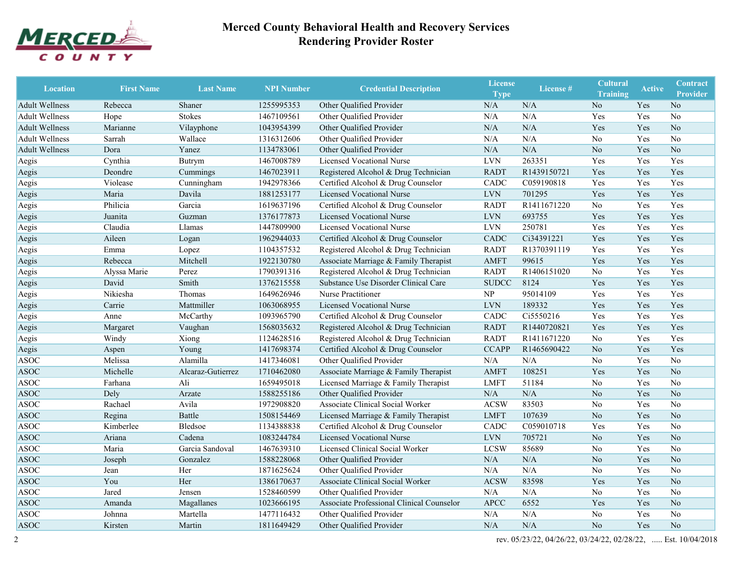

| <b>Location</b>       | <b>First Name</b> | <b>Last Name</b>  | <b>NPI Number</b> | <b>Credential Description</b>             | <b>License</b><br><b>Type</b> | License #   | <b>Cultural</b><br><b>Training</b> | <b>Active</b> | Contract<br><b>Provider</b> |
|-----------------------|-------------------|-------------------|-------------------|-------------------------------------------|-------------------------------|-------------|------------------------------------|---------------|-----------------------------|
| <b>Adult Wellness</b> | Rebecca           | Shaner            | 1255995353        | Other Qualified Provider                  | N/A                           | N/A         | N <sub>o</sub>                     | Yes           | N <sub>o</sub>              |
| <b>Adult Wellness</b> | Hope              | <b>Stokes</b>     | 1467109561        | Other Qualified Provider                  | N/A                           | N/A         | Yes                                | Yes           | N <sub>o</sub>              |
| <b>Adult Wellness</b> | Marianne          | Vilayphone        | 1043954399        | Other Qualified Provider                  | N/A                           | N/A         | Yes                                | Yes           | No                          |
| <b>Adult Wellness</b> | Sarrah            | Wallace           | 1316312606        | Other Qualified Provider                  | N/A                           | N/A         | No                                 | Yes           | N <sub>o</sub>              |
| <b>Adult Wellness</b> | Dora              | Yanez             | 1134783061        | Other Qualified Provider                  | N/A                           | N/A         | N <sub>o</sub>                     | Yes           | No                          |
| Aegis                 | Cynthia           | Butrym            | 1467008789        | <b>Licensed Vocational Nurse</b>          | <b>LVN</b>                    | 263351      | Yes                                | Yes           | Yes                         |
| Aegis                 | Deondre           | Cummings          | 1467023911        | Registered Alcohol & Drug Technician      | <b>RADT</b>                   | R1439150721 | Yes                                | Yes           | Yes                         |
| Aegis                 | Violease          | Cunningham        | 1942978366        | Certified Alcohol & Drug Counselor        | CADC                          | C059190818  | Yes                                | Yes           | Yes                         |
| Aegis                 | Maria             | Davila            | 1881253177        | <b>Licensed Vocational Nurse</b>          | <b>LVN</b>                    | 701295      | Yes                                | Yes           | Yes                         |
| Aegis                 | Philicia          | Garcia            | 1619637196        | Certified Alcohol & Drug Counselor        | <b>RADT</b>                   | R1411671220 | No                                 | Yes           | Yes                         |
| Aegis                 | Juanita           | Guzman            | 1376177873        | <b>Licensed Vocational Nurse</b>          | <b>LVN</b>                    | 693755      | Yes                                | Yes           | Yes                         |
| Aegis                 | Claudia           | Llamas            | 1447809900        | <b>Licensed Vocational Nurse</b>          | <b>LVN</b>                    | 250781      | Yes                                | Yes           | Yes                         |
| Aegis                 | Aileen            | Logan             | 1962944033        | Certified Alcohol & Drug Counselor        | CADC                          | Ci34391221  | Yes                                | Yes           | Yes                         |
| Aegis                 | Emma              | Lopez             | 1104357532        | Registered Alcohol & Drug Technician      | <b>RADT</b>                   | R1370391119 | Yes                                | Yes           | Yes                         |
| Aegis                 | Rebecca           | Mitchell          | 1922130780        | Associate Marriage & Family Therapist     | <b>AMFT</b>                   | 99615       | Yes                                | Yes           | Yes                         |
| Aegis                 | Alyssa Marie      | Perez             | 1790391316        | Registered Alcohol & Drug Technician      | <b>RADT</b>                   | R1406151020 | N <sub>o</sub>                     | Yes           | Yes                         |
| Aegis                 | David             | Smith             | 1376215558        | Substance Use Disorder Clinical Care      | <b>SUDCC</b>                  | 8124        | Yes                                | Yes           | Yes                         |
| Aegis                 | Nikiesha          | Thomas            | 1649626946        | Nurse Practitioner                        | NP                            | 95014109    | Yes                                | Yes           | Yes                         |
| Aegis                 | Carrie            | Mattmiller        | 1063068955        | Licensed Vocational Nurse                 | <b>LVN</b>                    | 189332      | Yes                                | Yes           | Yes                         |
| Aegis                 | Anne              | McCarthy          | 1093965790        | Certified Alcohol & Drug Counselor        | CADC                          | Ci5550216   | Yes                                | Yes           | Yes                         |
| Aegis                 | Margaret          | Vaughan           | 1568035632        | Registered Alcohol & Drug Technician      | <b>RADT</b>                   | R1440720821 | Yes                                | Yes           | Yes                         |
| Aegis                 | Windy             | Xiong             | 1124628516        | Registered Alcohol & Drug Technician      | <b>RADT</b>                   | R1411671220 | No                                 | Yes           | Yes                         |
| Aegis                 | Aspen             | Young             | 1417698374        | Certified Alcohol & Drug Counselor        | <b>CCAPP</b>                  | R1465690422 | N <sub>o</sub>                     | Yes           | Yes                         |
| <b>ASOC</b>           | Melissa           | Alamilla          | 1417346081        | Other Qualified Provider                  | N/A                           | N/A         | No                                 | Yes           | No                          |
| <b>ASOC</b>           | Michelle          | Alcaraz-Gutierrez | 1710462080        | Associate Marriage & Family Therapist     | <b>AMFT</b>                   | 108251      | Yes                                | Yes           | N <sub>o</sub>              |
| <b>ASOC</b>           | Farhana           | Ali               | 1659495018        | Licensed Marriage & Family Therapist      | <b>LMFT</b>                   | 51184       | No                                 | Yes           | No                          |
| <b>ASOC</b>           | Dely              | Arzate            | 1588255186        | Other Qualified Provider                  | N/A                           | N/A         | N <sub>o</sub>                     | Yes           | No                          |
| <b>ASOC</b>           | Rachael           | Avila             | 1972908820        | Associate Clinical Social Worker          | <b>ACSW</b>                   | 83503       | No                                 | Yes           | No                          |
| <b>ASOC</b>           | Regina            | Battle            | 1508154469        | Licensed Marriage & Family Therapist      | <b>LMFT</b>                   | 107639      | N <sub>o</sub>                     | Yes           | N <sub>o</sub>              |
| <b>ASOC</b>           | Kimberlee         | Bledsoe           | 1134388838        | Certified Alcohol & Drug Counselor        | CADC                          | C059010718  | Yes                                | Yes           | No                          |
| <b>ASOC</b>           | Ariana            | Cadena            | 1083244784        | <b>Licensed Vocational Nurse</b>          | <b>LVN</b>                    | 705721      | N <sub>o</sub>                     | Yes           | No                          |
| <b>ASOC</b>           | Maria             | Garcia Sandoval   | 1467639310        | Licensed Clinical Social Worker           | <b>LCSW</b>                   | 85689       | No                                 | Yes           | No                          |
| <b>ASOC</b>           | Joseph            | Gonzalez          | 1588228068        | Other Qualified Provider                  | N/A                           | N/A         | N <sub>o</sub>                     | Yes           | No                          |
| <b>ASOC</b>           | Jean              | Her               | 1871625624        | Other Qualified Provider                  | N/A                           | N/A         | No                                 | Yes           | No                          |
| <b>ASOC</b>           | You               | Her               | 1386170637        | Associate Clinical Social Worker          | <b>ACSW</b>                   | 83598       | Yes                                | Yes           | $\rm No$                    |
| <b>ASOC</b>           | Jared             | Jensen            | 1528460599        | Other Qualified Provider                  | N/A                           | N/A         | No                                 | Yes           | No                          |
| <b>ASOC</b>           | Amanda            | Magallanes        | 1023666195        | Associate Professional Clinical Counselor | APCC                          | 6552        | Yes                                | Yes           | $\rm No$                    |
| <b>ASOC</b>           | Johnna            | Martella          | 1477116432        | Other Qualified Provider                  | N/A                           | N/A         | No                                 | Yes           | No                          |
| <b>ASOC</b>           | Kirsten           | Martin            | 1811649429        | Other Qualified Provider                  | N/A                           | N/A         | No                                 | Yes           | No                          |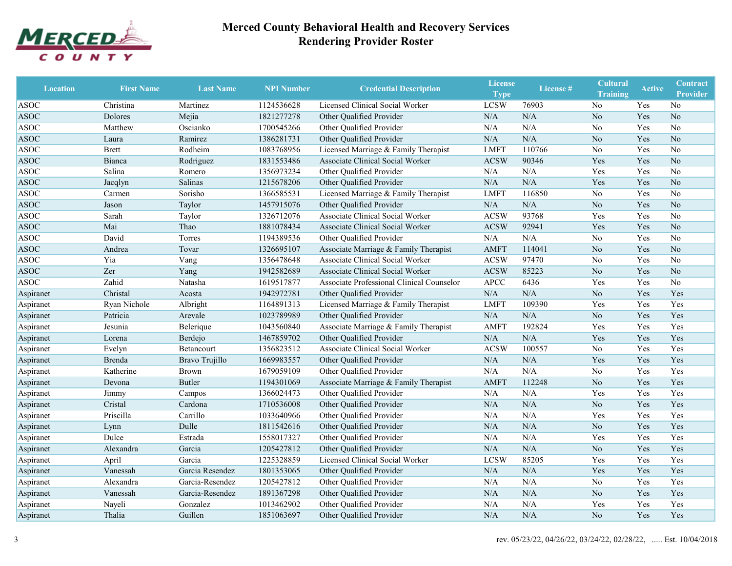

| <b>Location</b> | <b>First Name</b> | <b>Last Name</b> | <b>NPI Number</b> | <b>Credential Description</b>             | <b>License</b><br><b>Type</b> | License <sup>#</sup> | <b>Cultural</b><br><b>Training</b> | <b>Active</b> | <b>Contract</b><br><b>Provider</b> |
|-----------------|-------------------|------------------|-------------------|-------------------------------------------|-------------------------------|----------------------|------------------------------------|---------------|------------------------------------|
| <b>ASOC</b>     | Christina         | Martinez         | 1124536628        | Licensed Clinical Social Worker           | <b>LCSW</b>                   | 76903                | No                                 | Yes           | No                                 |
| <b>ASOC</b>     | Dolores           | Mejia            | 1821277278        | Other Qualified Provider                  | N/A                           | N/A                  | N <sub>o</sub>                     | Yes           | N <sub>o</sub>                     |
| ASOC            | Matthew           | Oscianko         | 1700545266        | Other Qualified Provider                  | N/A                           | N/A                  | No                                 | Yes           | No                                 |
| <b>ASOC</b>     | Laura             | Ramirez          | 1386281731        | Other Qualified Provider                  | N/A                           | $\rm N/A$            | No                                 | Yes           | N <sub>o</sub>                     |
| <b>ASOC</b>     | <b>Brett</b>      | Rodheim          | 1083768956        | Licensed Marriage & Family Therapist      | <b>LMFT</b>                   | 110766               | No                                 | Yes           | No                                 |
| <b>ASOC</b>     | Bianca            | Rodriguez        | 1831553486        | Associate Clinical Social Worker          | <b>ACSW</b>                   | 90346                | Yes                                | Yes           | N <sub>o</sub>                     |
| <b>ASOC</b>     | Salina            | Romero           | 1356973234        | Other Qualified Provider                  | N/A                           | N/A                  | Yes                                | Yes           | No                                 |
| <b>ASOC</b>     | Jacqlyn           | Salinas          | 1215678206        | Other Qualified Provider                  | N/A                           | $\rm N/A$            | Yes                                | Yes           | N <sub>o</sub>                     |
| <b>ASOC</b>     | Carmen            | Sorisho          | 1366585531        | Licensed Marriage & Family Therapist      | <b>LMFT</b>                   | 116850               | No                                 | Yes           | No                                 |
| <b>ASOC</b>     | Jason             | Taylor           | 1457915076        | Other Qualified Provider                  | N/A                           | $\rm N/A$            | N <sub>o</sub>                     | Yes           | N <sub>o</sub>                     |
| <b>ASOC</b>     | Sarah             | Taylor           | 1326712076        | Associate Clinical Social Worker          | <b>ACSW</b>                   | 93768                | Yes                                | Yes           | No                                 |
| <b>ASOC</b>     | Mai               | Thao             | 1881078434        | Associate Clinical Social Worker          | <b>ACSW</b>                   | 92941                | Yes                                | Yes           | N <sub>o</sub>                     |
| <b>ASOC</b>     | David             | Torres           | 1194389536        | Other Qualified Provider                  | N/A                           | N/A                  | No                                 | Yes           | N <sub>o</sub>                     |
| <b>ASOC</b>     | Andrea            | Tovar            | 1326695107        | Associate Marriage & Family Therapist     | <b>AMFT</b>                   | 114041               | N <sub>o</sub>                     | Yes           | N <sub>o</sub>                     |
| <b>ASOC</b>     | Yia               | Vang             | 1356478648        | Associate Clinical Social Worker          | <b>ACSW</b>                   | 97470                | No                                 | Yes           | No                                 |
| <b>ASOC</b>     | Zer               | Yang             | 1942582689        | Associate Clinical Social Worker          | <b>ACSW</b>                   | 85223                | N <sub>o</sub>                     | Yes           | N <sub>o</sub>                     |
| <b>ASOC</b>     | Zahid             | Natasha          | 1619517877        | Associate Professional Clinical Counselor | <b>APCC</b>                   | 6436                 | Yes                                | Yes           | No                                 |
| Aspiranet       | Christal          | Acosta           | 1942972781        | Other Qualified Provider                  | N/A                           | N/A                  | N <sub>o</sub>                     | Yes           | Yes                                |
| Aspiranet       | Ryan Nichole      | Albright         | 1164891313        | Licensed Marriage & Family Therapist      | <b>LMFT</b>                   | 109390               | Yes                                | Yes           | Yes                                |
| Aspiranet       | Patricia          | Arevale          | 1023789989        | Other Qualified Provider                  | N/A                           | N/A                  | N <sub>o</sub>                     | Yes           | Yes                                |
| Aspiranet       | Jesunia           | Belerique        | 1043560840        | Associate Marriage & Family Therapist     | <b>AMFT</b>                   | 192824               | Yes                                | Yes           | Yes                                |
| Aspiranet       | Lorena            | Berdejo          | 1467859702        | Other Qualified Provider                  | N/A                           | N/A                  | Yes                                | Yes           | Yes                                |
| Aspiranet       | Evelyn            | Betancourt       | 1356823512        | Associate Clinical Social Worker          | <b>ACSW</b>                   | 100557               | No                                 | Yes           | Yes                                |
| Aspiranet       | Brenda            | Bravo Trujillo   | 1669983557        | Other Qualified Provider                  | N/A                           | N/A                  | Yes                                | Yes           | Yes                                |
| Aspiranet       | Katherine         | Brown            | 1679059109        | Other Qualified Provider                  | N/A                           | N/A                  | No                                 | Yes           | Yes                                |
| Aspiranet       | Devona            | <b>Butler</b>    | 1194301069        | Associate Marriage & Family Therapist     | <b>AMFT</b>                   | 112248               | N <sub>o</sub>                     | Yes           | Yes                                |
| Aspiranet       | Jimmy             | Campos           | 1366024473        | Other Qualified Provider                  | N/A                           | N/A                  | Yes                                | Yes           | Yes                                |
| Aspiranet       | Cristal           | Cardona          | 1710536008        | Other Qualified Provider                  | N/A                           | N/A                  | N <sub>o</sub>                     | Yes           | Yes                                |
| Aspiranet       | Priscilla         | Carrillo         | 1033640966        | Other Qualified Provider                  | N/A                           | N/A                  | Yes                                | Yes           | Yes                                |
| Aspiranet       | Lynn              | Dulle            | 1811542616        | Other Qualified Provider                  | N/A                           | N/A                  | N <sub>o</sub>                     | Yes           | Yes                                |
| Aspiranet       | Dulce             | Estrada          | 1558017327        | Other Qualified Provider                  | N/A                           | N/A                  | Yes                                | Yes           | Yes                                |
| Aspiranet       | Alexandra         | Garcia           | 1205427812        | Other Qualified Provider                  | N/A                           | $\rm N/A$            | No                                 | Yes           | Yes                                |
| Aspiranet       | April             | Garcia           | 1225328859        | Licensed Clinical Social Worker           | <b>LCSW</b>                   | 85205                | Yes                                | Yes           | Yes                                |
| Aspiranet       | Vanessah          | Garcia Resendez  | 1801353065        | Other Qualified Provider                  | N/A                           | $\rm N/A$            | Yes                                | Yes           | Yes                                |
| Aspiranet       | Alexandra         | Garcia-Resendez  | 1205427812        | Other Qualified Provider                  | N/A                           | N/A                  | No                                 | Yes           | Yes                                |
| Aspiranet       | Vanessah          | Garcia-Resendez  | 1891367298        | Other Qualified Provider                  | N/A                           | N/A                  | N <sub>o</sub>                     | Yes           | Yes                                |
| Aspiranet       | Nayeli            | Gonzalez         | 1013462902        | Other Qualified Provider                  | N/A                           | N/A                  | Yes                                | Yes           | Yes                                |
| Aspiranet       | Thalia            | Guillen          | 1851063697        | Other Qualified Provider                  | N/A                           | $\rm N/A$            | N <sub>o</sub>                     | Yes           | Yes                                |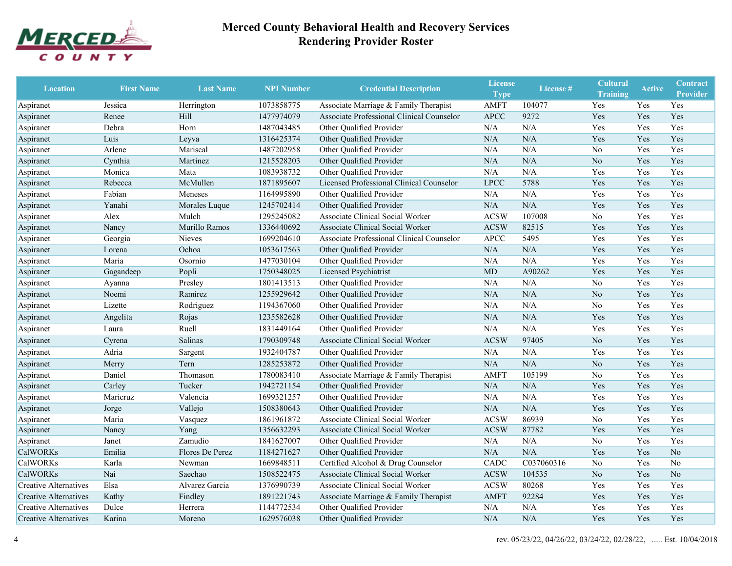

| <b>Location</b>              | <b>First Name</b> | <b>Last Name</b> | <b>NPI Number</b> | <b>Credential Description</b>             | <b>License</b><br><b>Type</b> | License #  | <b>Cultural</b><br><b>Training</b> | <b>Active</b> | <b>Contract</b><br><b>Provider</b> |
|------------------------------|-------------------|------------------|-------------------|-------------------------------------------|-------------------------------|------------|------------------------------------|---------------|------------------------------------|
| Aspiranet                    | Jessica           | Herrington       | 1073858775        | Associate Marriage & Family Therapist     | <b>AMFT</b>                   | 104077     | Yes                                | Yes           | Yes                                |
| Aspiranet                    | Renee             | Hill             | 1477974079        | Associate Professional Clinical Counselor | <b>APCC</b>                   | 9272       | Yes                                | Yes           | Yes                                |
| Aspiranet                    | Debra             | Horn             | 1487043485        | Other Qualified Provider                  | N/A                           | N/A        | Yes                                | Yes           | Yes                                |
| Aspiranet                    | Luis              | Leyva            | 1316425374        | Other Qualified Provider                  | N/A                           | N/A        | Yes                                | Yes           | Yes                                |
| Aspiranet                    | Arlene            | Mariscal         | 1487202958        | Other Qualified Provider                  | N/A                           | N/A        | No                                 | Yes           | Yes                                |
| Aspiranet                    | Cynthia           | Martinez         | 1215528203        | Other Qualified Provider                  | N/A                           | N/A        | No                                 | Yes           | Yes                                |
| Aspiranet                    | Monica            | Mata             | 1083938732        | Other Qualified Provider                  | N/A                           | N/A        | Yes                                | Yes           | Yes                                |
| Aspiranet                    | Rebecca           | McMullen         | 1871895607        | Licensed Professional Clinical Counselor  | <b>LPCC</b>                   | 5788       | Yes                                | Yes           | Yes                                |
| Aspiranet                    | Fabian            | Meneses          | 1164995890        | Other Qualified Provider                  | N/A                           | N/A        | Yes                                | Yes           | Yes                                |
| Aspiranet                    | Yanahi            | Morales Luque    | 1245702414        | Other Qualified Provider                  | N/A                           | N/A        | Yes                                | Yes           | Yes                                |
| Aspiranet                    | Alex              | Mulch            | 1295245082        | Associate Clinical Social Worker          | <b>ACSW</b>                   | 107008     | No                                 | Yes           | Yes                                |
| Aspiranet                    | Nancy             | Murillo Ramos    | 1336440692        | Associate Clinical Social Worker          | <b>ACSW</b>                   | 82515      | Yes                                | Yes           | Yes                                |
| Aspiranet                    | Georgia           | Nieves           | 1699204610        | Associate Professional Clinical Counselor | <b>APCC</b>                   | 5495       | Yes                                | Yes           | Yes                                |
| Aspiranet                    | Lorena            | Ochoa            | 1053617563        | Other Qualified Provider                  | N/A                           | N/A        | Yes                                | Yes           | Yes                                |
| Aspiranet                    | Maria             | Osornio          | 1477030104        | Other Qualified Provider                  | N/A                           | N/A        | Yes                                | Yes           | Yes                                |
| Aspiranet                    | Gagandeep         | Popli            | 1750348025        | Licensed Psychiatrist                     | <b>MD</b>                     | A90262     | Yes                                | Yes           | Yes                                |
| Aspiranet                    | Ayanna            | Presley          | 1801413513        | Other Qualified Provider                  | N/A                           | N/A        | No                                 | Yes           | Yes                                |
| Aspiranet                    | Noemi             | Ramirez          | 1255929642        | Other Qualified Provider                  | N/A                           | N/A        | No                                 | Yes           | Yes                                |
| Aspiranet                    | Lizette           | Rodriguez        | 1194367060        | Other Qualified Provider                  | N/A                           | N/A        | No                                 | Yes           | Yes                                |
| Aspiranet                    | Angelita          | Rojas            | 1235582628        | Other Qualified Provider                  | N/A                           | N/A        | Yes                                | Yes           | Yes                                |
| Aspiranet                    | Laura             | Ruell            | 1831449164        | Other Qualified Provider                  | N/A                           | N/A        | Yes                                | Yes           | Yes                                |
| Aspiranet                    | Cyrena            | Salinas          | 1790309748        | Associate Clinical Social Worker          | <b>ACSW</b>                   | 97405      | N <sub>o</sub>                     | Yes           | Yes                                |
| Aspiranet                    | Adria             | Sargent          | 1932404787        | Other Qualified Provider                  | N/A                           | N/A        | Yes                                | Yes           | Yes                                |
| Aspiranet                    | Merry             | Tern             | 1285253872        | Other Qualified Provider                  | N/A                           | N/A        | No                                 | Yes           | Yes                                |
| Aspiranet                    | Daniel            | Thomason         | 1780083410        | Associate Marriage & Family Therapist     | <b>AMFT</b>                   | 105199     | No                                 | Yes           | Yes                                |
| Aspiranet                    | Carley            | Tucker           | 1942721154        | Other Qualified Provider                  | N/A                           | N/A        | Yes                                | Yes           | Yes                                |
| Aspiranet                    | Maricruz          | Valencia         | 1699321257        | Other Qualified Provider                  | N/A                           | N/A        | Yes                                | Yes           | Yes                                |
| Aspiranet                    | Jorge             | Vallejo          | 1508380643        | Other Qualified Provider                  | N/A                           | $\rm N/A$  | Yes                                | Yes           | Yes                                |
| Aspiranet                    | Maria             | Vasquez          | 1861961872        | Associate Clinical Social Worker          | <b>ACSW</b>                   | 86939      | No                                 | Yes           | Yes                                |
| Aspiranet                    | Nancy             | Yang             | 1356632293        | Associate Clinical Social Worker          | <b>ACSW</b>                   | 87782      | Yes                                | Yes           | Yes                                |
| Aspiranet                    | Janet             | Zamudio          | 1841627007        | Other Qualified Provider                  | N/A                           | N/A        | No                                 | Yes           | Yes                                |
| CalWORKs                     | Emilia            | Flores De Perez  | 1184271627        | Other Qualified Provider                  | N/A                           | $\rm N/A$  | Yes                                | Yes           | No                                 |
| <b>CalWORKs</b>              | Karla             | Newman           | 1669848511        | Certified Alcohol & Drug Counselor        | CADC                          | C037060316 | No                                 | Yes           | N <sub>o</sub>                     |
| <b>CalWORKs</b>              | Nai               | Saechao          | 1508522475        | Associate Clinical Social Worker          | <b>ACSW</b>                   | 104535     | No                                 | Yes           | $\rm No$                           |
| <b>Creative Alternatives</b> | Elsa              | Alvarez Garcia   | 1376990739        | Associate Clinical Social Worker          | <b>ACSW</b>                   | 80268      | Yes                                | Yes           | Yes                                |
| <b>Creative Alternatives</b> | Kathy             | Findley          | 1891221743        | Associate Marriage & Family Therapist     | <b>AMFT</b>                   | 92284      | Yes                                | Yes           | Yes                                |
| <b>Creative Alternatives</b> | Dulce             | Herrera          | 1144772534        | Other Qualified Provider                  | N/A                           | N/A        | Yes                                | Yes           | Yes                                |
| <b>Creative Alternatives</b> | Karina            | Moreno           | 1629576038        | Other Qualified Provider                  | N/A                           | $\rm N/A$  | Yes                                | Yes           | Yes                                |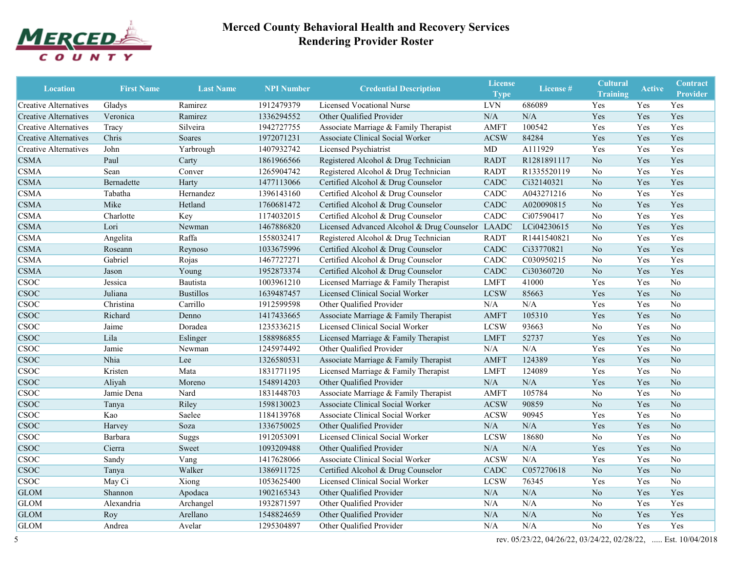

| <b>Location</b>              | <b>First Name</b> | <b>Last Name</b> | <b>NPI Number</b> | <b>Credential Description</b>              | <b>License</b><br><b>Type</b> | License #   | <b>Cultural</b><br><b>Training</b> | <b>Active</b> | <b>Contract</b><br><b>Provider</b> |
|------------------------------|-------------------|------------------|-------------------|--------------------------------------------|-------------------------------|-------------|------------------------------------|---------------|------------------------------------|
| Creative Alternatives        | Gladys            | Ramirez          | 1912479379        | Licensed Vocational Nurse                  | <b>LVN</b>                    | 686089      | Yes                                | Yes           | Yes                                |
| Creative Alternatives        | Veronica          | Ramirez          | 1336294552        | Other Qualified Provider                   | N/A                           | N/A         | Yes                                | Yes           | Yes                                |
| Creative Alternatives        | Tracy             | Silveira         | 1942727755        | Associate Marriage & Family Therapist      | <b>AMFT</b>                   | 100542      | Yes                                | Yes           | Yes                                |
| <b>Creative Alternatives</b> | Chris             | Soares           | 1972071231        | Associate Clinical Social Worker           | <b>ACSW</b>                   | 84284       | Yes                                | Yes           | Yes                                |
| Creative Alternatives        | John              | Yarbrough        | 1407932742        | Licensed Psychiatrist                      | MD                            | A111929     | Yes                                | Yes           | Yes                                |
| <b>CSMA</b>                  | Paul              | Carty            | 1861966566        | Registered Alcohol & Drug Technician       | <b>RADT</b>                   | R1281891117 | No                                 | Yes           | Yes                                |
| <b>CSMA</b>                  | Sean              | Conver           | 1265904742        | Registered Alcohol & Drug Technician       | <b>RADT</b>                   | R1335520119 | No                                 | Yes           | Yes                                |
| <b>CSMA</b>                  | Bernadette        | Harty            | 1477113066        | Certified Alcohol & Drug Counselor         | CADC                          | Ci32140321  | N <sub>o</sub>                     | Yes           | Yes                                |
| <b>CSMA</b>                  | Tabatha           | Hernandez        | 1396143160        | Certified Alcohol & Drug Counselor         | CADC                          | A043271216  | No                                 | Yes           | Yes                                |
| <b>CSMA</b>                  | Mike              | Hetland          | 1760681472        | Certified Alcohol & Drug Counselor         | CADC                          | A020090815  | N <sub>o</sub>                     | Yes           | Yes                                |
| <b>CSMA</b>                  | Charlotte         | Key              | 1174032015        | Certified Alcohol & Drug Counselor         | CADC                          | Ci07590417  | No                                 | Yes           | Yes                                |
| <b>CSMA</b>                  | Lori              | Newman           | 1467886820        | Licensed Advanced Alcohol & Drug Counselor | <b>LAADC</b>                  | LCi04230615 | N <sub>o</sub>                     | Yes           | Yes                                |
| <b>CSMA</b>                  | Angelita          | Raffa            | 1558032417        | Registered Alcohol & Drug Technician       | <b>RADT</b>                   | R1441540821 | No                                 | Yes           | Yes                                |
| <b>CSMA</b>                  | Roseann           | Reynoso          | 1033675996        | Certified Alcohol & Drug Counselor         | CADC                          | Ci33770821  | N <sub>o</sub>                     | Yes           | Yes                                |
| <b>CSMA</b>                  | Gabriel           | Rojas            | 1467727271        | Certified Alcohol & Drug Counselor         | CADC                          | C030950215  | No                                 | Yes           | Yes                                |
| <b>CSMA</b>                  | Jason             | Young            | 1952873374        | Certified Alcohol & Drug Counselor         | CADC                          | Ci30360720  | N <sub>o</sub>                     | Yes           | Yes                                |
| <b>CSOC</b>                  | Jessica           | Bautista         | 1003961210        | Licensed Marriage & Family Therapist       | <b>LMFT</b>                   | 41000       | Yes                                | Yes           | N <sub>o</sub>                     |
| <b>CSOC</b>                  | Juliana           | <b>Bustillos</b> | 1639487457        | Licensed Clinical Social Worker            | <b>LCSW</b>                   | 85663       | Yes                                | Yes           | No                                 |
| <b>CSOC</b>                  | Christina         | Carrillo         | 1912599598        | Other Qualified Provider                   | N/A                           | N/A         | Yes                                | Yes           | N <sub>o</sub>                     |
| <b>CSOC</b>                  | Richard           | Denno            | 1417433665        | Associate Marriage & Family Therapist      | <b>AMFT</b>                   | 105310      | Yes                                | Yes           | N <sub>o</sub>                     |
| <b>CSOC</b>                  | Jaime             | Doradea          | 1235336215        | Licensed Clinical Social Worker            | <b>LCSW</b>                   | 93663       | No                                 | Yes           | No                                 |
| <b>CSOC</b>                  | Lila              | Eslinger         | 1588986855        | Licensed Marriage & Family Therapist       | <b>LMFT</b>                   | 52737       | Yes                                | Yes           | N <sub>o</sub>                     |
| <b>CSOC</b>                  | Jamie             | Newman           | 1245974492        | Other Qualified Provider                   | N/A                           | N/A         | Yes                                | Yes           | No                                 |
| <b>CSOC</b>                  | Nhia              | Lee              | 1326580531        | Associate Marriage & Family Therapist      | <b>AMFT</b>                   | 124389      | Yes                                | Yes           | N <sub>o</sub>                     |
| <b>CSOC</b>                  | Kristen           | Mata             | 1831771195        | Licensed Marriage & Family Therapist       | <b>LMFT</b>                   | 124089      | Yes                                | Yes           | N <sub>o</sub>                     |
| <b>CSOC</b>                  | Aliyah            | Moreno           | 1548914203        | Other Qualified Provider                   | N/A                           | N/A         | Yes                                | Yes           | No                                 |
| <b>CSOC</b>                  | Jamie Dena        | Nard             | 1831448703        | Associate Marriage & Family Therapist      | <b>AMFT</b>                   | 105784      | No                                 | Yes           | N <sub>o</sub>                     |
| <b>CSOC</b>                  | Tanya             | Riley            | 1598130023        | Associate Clinical Social Worker           | <b>ACSW</b>                   | 90859       | N <sub>o</sub>                     | Yes           | No                                 |
| <b>CSOC</b>                  | Kao               | Saelee           | 1184139768        | Associate Clinical Social Worker           | <b>ACSW</b>                   | 90945       | Yes                                | Yes           | No                                 |
| <b>CSOC</b>                  | Harvey            | Soza             | 1336750025        | Other Qualified Provider                   | N/A                           | N/A         | Yes                                | Yes           | No                                 |
| <b>CSOC</b>                  | Barbara           | Suggs            | 1912053091        | Licensed Clinical Social Worker            | <b>LCSW</b>                   | 18680       | No                                 | Yes           | No                                 |
| <b>CSOC</b>                  | Cierra            | Sweet            | 1093209488        | Other Qualified Provider                   | N/A                           | N/A         | Yes                                | Yes           | No                                 |
| <b>CSOC</b>                  | Sandy             | Vang             | 1417628066        | Associate Clinical Social Worker           | <b>ACSW</b>                   | $\rm N/A$   | Yes                                | Yes           | No                                 |
| <b>CSOC</b>                  | Tanya             | Walker           | 1386911725        | Certified Alcohol & Drug Counselor         | ${\rm CADC}$                  | C057270618  | No                                 | Yes           | $\rm No$                           |
| <b>CSOC</b>                  | May Ci            | Xiong            | 1053625400        | Licensed Clinical Social Worker            | <b>LCSW</b>                   | 76345       | Yes                                | Yes           | No                                 |
| <b>GLOM</b>                  | Shannon           | Apodaca          | 1902165343        | Other Qualified Provider                   | N/A                           | $\rm N/A$   | N <sub>0</sub>                     | Yes           | Yes                                |
| <b>GLOM</b>                  | Alexandria        | Archangel        | 1932871597        | Other Qualified Provider                   | N/A                           | $\rm N/A$   | No                                 | Yes           | Yes                                |
| <b>GLOM</b>                  | Roy               | Arellano         | 1548824659        | Other Qualified Provider                   | N/A                           | N/A         | No                                 | Yes           | Yes                                |
| <b>GLOM</b>                  | Andrea            | Avelar           | 1295304897        | Other Qualified Provider                   | N/A                           | N/A         | No                                 | Yes           | Yes                                |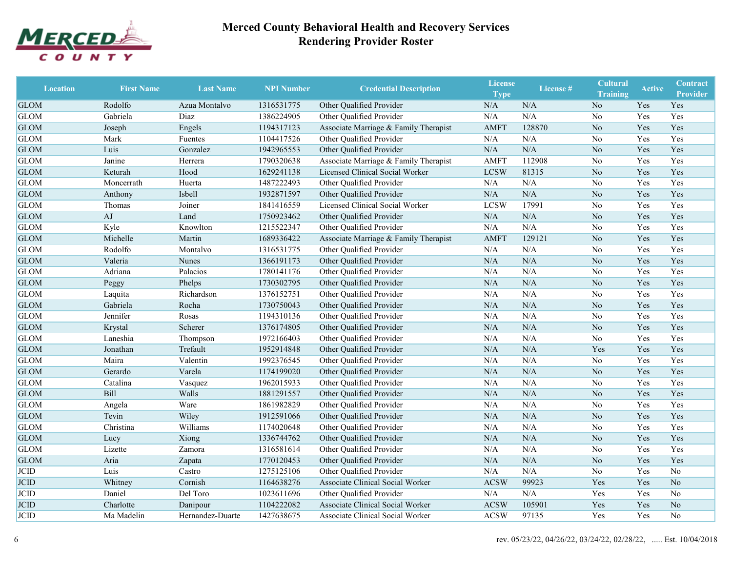

| <b>Location</b> | <b>First Name</b> | <b>Last Name</b> | <b>NPI Number</b> | <b>Credential Description</b>         | <b>License</b><br><b>Type</b> | License # | <b>Cultural</b><br><b>Training</b> | <b>Active</b> | <b>Contract</b><br><b>Provider</b> |
|-----------------|-------------------|------------------|-------------------|---------------------------------------|-------------------------------|-----------|------------------------------------|---------------|------------------------------------|
| <b>GLOM</b>     | Rodolfo           | Azua Montalvo    | 1316531775        | Other Qualified Provider              | N/A                           | N/A       | N <sub>o</sub>                     | Yes           | Yes                                |
| <b>GLOM</b>     | Gabriela          | Diaz             | 1386224905        | Other Qualified Provider              | N/A                           | N/A       | No                                 | Yes           | Yes                                |
| <b>GLOM</b>     | Joseph            | Engels           | 1194317123        | Associate Marriage & Family Therapist | <b>AMFT</b>                   | 128870    | N <sub>o</sub>                     | Yes           | Yes                                |
| <b>GLOM</b>     | Mark              | Fuentes          | 1104417526        | Other Qualified Provider              | N/A                           | N/A       | No                                 | Yes           | Yes                                |
| <b>GLOM</b>     | Luis              | Gonzalez         | 1942965553        | Other Qualified Provider              | N/A                           | N/A       | N <sub>o</sub>                     | Yes           | Yes                                |
| <b>GLOM</b>     | Janine            | Herrera          | 1790320638        | Associate Marriage & Family Therapist | <b>AMFT</b>                   | 112908    | N <sub>o</sub>                     | Yes           | Yes                                |
| <b>GLOM</b>     | Keturah           | Hood             | 1629241138        | Licensed Clinical Social Worker       | <b>LCSW</b>                   | 81315     | N <sub>o</sub>                     | Yes           | Yes                                |
| <b>GLOM</b>     | Moncerrath        | Huerta           | 1487222493        | Other Qualified Provider              | N/A                           | N/A       | No                                 | Yes           | Yes                                |
| <b>GLOM</b>     | Anthony           | Isbell           | 1932871597        | Other Qualified Provider              | $\rm N/A$                     | N/A       | N <sub>o</sub>                     | Yes           | Yes                                |
| <b>GLOM</b>     | Thomas            | Joiner           | 1841416559        | Licensed Clinical Social Worker       | <b>LCSW</b>                   | 17991     | No                                 | Yes           | Yes                                |
| <b>GLOM</b>     | AJ                | Land             | 1750923462        | Other Qualified Provider              | N/A                           | N/A       | No                                 | Yes           | Yes                                |
| <b>GLOM</b>     | Kyle              | Knowlton         | 1215522347        | Other Qualified Provider              | N/A                           | N/A       | N <sub>0</sub>                     | Yes           | Yes                                |
| <b>GLOM</b>     | Michelle          | Martin           | 1689336422        | Associate Marriage & Family Therapist | <b>AMFT</b>                   | 129121    | N <sub>o</sub>                     | Yes           | Yes                                |
| <b>GLOM</b>     | Rodolfo           | Montalvo         | 1316531775        | Other Qualified Provider              | N/A                           | N/A       | N <sub>0</sub>                     | Yes           | Yes                                |
| <b>GLOM</b>     | Valeria           | Nunes            | 1366191173        | Other Qualified Provider              | N/A                           | N/A       | N <sub>o</sub>                     | Yes           | Yes                                |
| <b>GLOM</b>     | Adriana           | Palacios         | 1780141176        | Other Qualified Provider              | N/A                           | N/A       | No                                 | Yes           | Yes                                |
| <b>GLOM</b>     | Peggy             | Phelps           | 1730302795        | Other Qualified Provider              | N/A                           | N/A       | N <sub>o</sub>                     | Yes           | Yes                                |
| <b>GLOM</b>     | Laquita           | Richardson       | 1376152751        | Other Qualified Provider              | N/A                           | N/A       | No                                 | Yes           | Yes                                |
| <b>GLOM</b>     | Gabriela          | Rocha            | 1730750043        | Other Qualified Provider              | N/A                           | N/A       | N <sub>o</sub>                     | Yes           | Yes                                |
| <b>GLOM</b>     | Jennifer          | Rosas            | 1194310136        | Other Qualified Provider              | N/A                           | N/A       | N <sub>o</sub>                     | Yes           | Yes                                |
| <b>GLOM</b>     | Krystal           | Scherer          | 1376174805        | Other Qualified Provider              | N/A                           | N/A       | N <sub>o</sub>                     | Yes           | Yes                                |
| <b>GLOM</b>     | Laneshia          | Thompson         | 1972166403        | Other Qualified Provider              | N/A                           | N/A       | N <sub>o</sub>                     | Yes           | Yes                                |
| <b>GLOM</b>     | Jonathan          | Trefault         | 1952914848        | Other Qualified Provider              | N/A                           | N/A       | Yes                                | Yes           | Yes                                |
| <b>GLOM</b>     | Maira             | Valentin         | 1992376545        | Other Qualified Provider              | N/A                           | N/A       | N <sub>o</sub>                     | Yes           | Yes                                |
| <b>GLOM</b>     | Gerardo           | Varela           | 1174199020        | Other Qualified Provider              | N/A                           | N/A       | N <sub>o</sub>                     | Yes           | Yes                                |
| <b>GLOM</b>     | Catalina          | Vasquez          | 1962015933        | Other Qualified Provider              | N/A                           | N/A       | N <sub>0</sub>                     | Yes           | Yes                                |
| <b>GLOM</b>     | Bill              | Walls            | 1881291557        | Other Qualified Provider              | N/A                           | N/A       | N <sub>o</sub>                     | Yes           | Yes                                |
| <b>GLOM</b>     | Angela            | Ware             | 1861982829        | Other Qualified Provider              | N/A                           | N/A       | No                                 | Yes           | Yes                                |
| <b>GLOM</b>     | Tevin             | Wiley            | 1912591066        | Other Qualified Provider              | N/A                           | N/A       | No                                 | Yes           | Yes                                |
| <b>GLOM</b>     | Christina         | Williams         | 1174020648        | Other Qualified Provider              | N/A                           | N/A       | N <sub>0</sub>                     | Yes           | Yes                                |
| <b>GLOM</b>     | Lucy              | Xiong            | 1336744762        | Other Qualified Provider              | N/A                           | N/A       | N <sub>o</sub>                     | Yes           | Yes                                |
| <b>GLOM</b>     | Lizette           | Zamora           | 1316581614        | Other Qualified Provider              | N/A                           | N/A       | No                                 | Yes           | Yes                                |
| <b>GLOM</b>     | Aria              | Zapata           | 1770120453        | Other Qualified Provider              | N/A                           | N/A       | N <sub>o</sub>                     | Yes           | Yes                                |
| <b>JCID</b>     | Luis              | Castro           | 1275125106        | Other Qualified Provider              | N/A                           | N/A       | N <sub>0</sub>                     | Yes           | No                                 |
| <b>JCID</b>     | Whitney           | Cornish          | 1164638276        | Associate Clinical Social Worker      | <b>ACSW</b>                   | 99923     | Yes                                | Yes           | $\rm No$                           |
| <b>JCID</b>     | Daniel            | Del Toro         | 1023611696        | Other Qualified Provider              | N/A                           | N/A       | Yes                                | Yes           | No                                 |
| <b>JCID</b>     | Charlotte         | Danipour         | 1104222082        | Associate Clinical Social Worker      | <b>ACSW</b>                   | 105901    | Yes                                | Yes           | N <sub>o</sub>                     |
| JCID            | Ma Madelin        | Hernandez-Duarte | 1427638675        | Associate Clinical Social Worker      | <b>ACSW</b>                   | 97135     | Yes                                | Yes           | No                                 |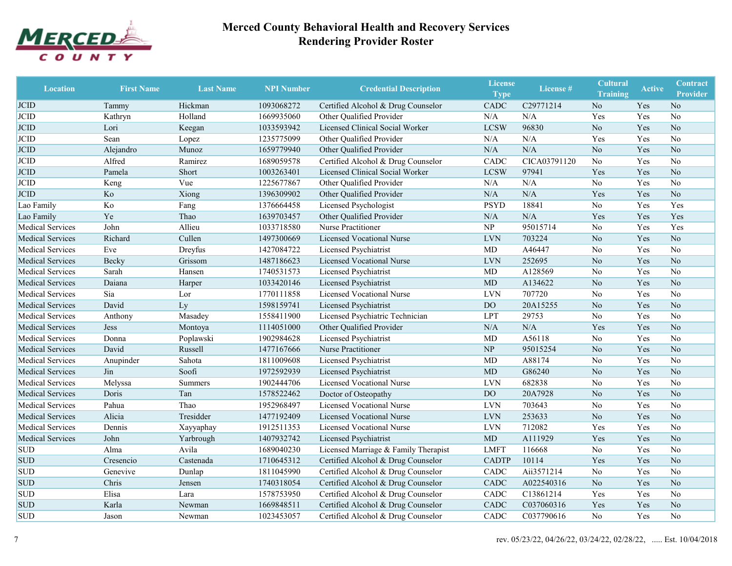

| <b>Location</b>         | <b>First Name</b> | <b>Last Name</b> | <b>NPI Number</b> | <b>Credential Description</b>        | <b>License</b><br><b>Type</b> | License <sup>#</sup> | <b>Cultural</b><br><b>Training</b> | <b>Active</b> | <b>Contract</b><br><b>Provider</b> |
|-------------------------|-------------------|------------------|-------------------|--------------------------------------|-------------------------------|----------------------|------------------------------------|---------------|------------------------------------|
| <b>JCID</b>             | Tammy             | Hickman          | 1093068272        | Certified Alcohol & Drug Counselor   | CADC                          | C29771214            | N <sub>o</sub>                     | Yes           | N <sub>o</sub>                     |
| JCID                    | Kathryn           | Holland          | 1669935060        | Other Qualified Provider             | N/A                           | N/A                  | Yes                                | Yes           | $\rm No$                           |
| <b>JCID</b>             | Lori              | Keegan           | 1033593942        | Licensed Clinical Social Worker      | <b>LCSW</b>                   | 96830                | N <sub>o</sub>                     | Yes           | No                                 |
| <b>JCID</b>             | Sean              | Lopez            | 1235775099        | Other Qualified Provider             | N/A                           | N/A                  | Yes                                | Yes           | $\rm No$                           |
| <b>JCID</b>             | Alejandro         | Munoz            | 1659779940        | Other Qualified Provider             | N/A                           | N/A                  | No                                 | Yes           | No                                 |
| JCID                    | Alfred            | Ramirez          | 1689059578        | Certified Alcohol & Drug Counselor   | CADC                          | CICA03791120         | No                                 | Yes           | No                                 |
| <b>JCID</b>             | Pamela            | Short            | 1003263401        | Licensed Clinical Social Worker      | <b>LCSW</b>                   | 97941                | Yes                                | Yes           | No                                 |
| <b>JCID</b>             | Keng              | Vue              | 1225677867        | Other Qualified Provider             | N/A                           | N/A                  | No                                 | Yes           | No                                 |
| <b>JCID</b>             | Ko                | Xiong            | 1396309902        | Other Qualified Provider             | $\rm N/A$                     | N/A                  | Yes                                | Yes           | No                                 |
| Lao Family              | Ko                | Fang             | 1376664458        | Licensed Psychologist                | <b>PSYD</b>                   | 18841                | No                                 | Yes           | Yes                                |
| Lao Family              | Ye                | Thao             | 1639703457        | Other Qualified Provider             | N/A                           | N/A                  | Yes                                | Yes           | Yes                                |
| <b>Medical Services</b> | John              | Allieu           | 1033718580        | Nurse Practitioner                   | <b>NP</b>                     | 95015714             | No                                 | Yes           | Yes                                |
| <b>Medical Services</b> | Richard           | Cullen           | 1497300669        | <b>Licensed Vocational Nurse</b>     | <b>LVN</b>                    | 703224               | No                                 | Yes           | No                                 |
| <b>Medical Services</b> | Eve               | Dreyfus          | 1427084722        | Licensed Psychiatrist                | MD                            | A46447               | No                                 | Yes           | No                                 |
| <b>Medical Services</b> | Becky             | Grissom          | 1487186623        | <b>Licensed Vocational Nurse</b>     | <b>LVN</b>                    | 252695               | N <sub>o</sub>                     | Yes           | No                                 |
| <b>Medical Services</b> | Sarah             | Hansen           | 1740531573        | Licensed Psychiatrist                | MD                            | A128569              | No                                 | Yes           | No                                 |
| <b>Medical Services</b> | Daiana            | Harper           | 1033420146        | Licensed Psychiatrist                | <b>MD</b>                     | A134622              | N <sub>o</sub>                     | Yes           | No                                 |
| <b>Medical Services</b> | Sia               | Lor              | 1770111858        | <b>Licensed Vocational Nurse</b>     | <b>LVN</b>                    | 707720               | No                                 | Yes           | No                                 |
| <b>Medical Services</b> | David             | Ly               | 1598159741        | Licensed Psychiatrist                | DO <sub>1</sub>               | 20A15255             | N <sub>o</sub>                     | Yes           | N <sub>o</sub>                     |
| <b>Medical Services</b> | Anthony           | Masadey          | 1558411900        | Licensed Psychiatric Technician      | <b>LPT</b>                    | 29753                | No                                 | Yes           | No                                 |
| <b>Medical Services</b> | <b>Jess</b>       | Montoya          | 1114051000        | Other Qualified Provider             | N/A                           | $\rm N/A$            | Yes                                | Yes           | $\rm No$                           |
| <b>Medical Services</b> | Donna             | Poplawski        | 1902984628        | Licensed Psychiatrist                | <b>MD</b>                     | A56118               | No                                 | Yes           | N <sub>o</sub>                     |
| <b>Medical Services</b> | David             | Russell          | 1477167666        | Nurse Practitioner                   | N <sub>P</sub>                | 95015254             | N <sub>o</sub>                     | Yes           | No                                 |
| <b>Medical Services</b> | Anupinder         | Sahota           | 1811009608        | Licensed Psychiatrist                | <b>MD</b>                     | A88174               | No                                 | Yes           | No                                 |
| <b>Medical Services</b> | Jin               | Soofi            | 1972592939        | Licensed Psychiatrist                | <b>MD</b>                     | G86240               | N <sub>o</sub>                     | Yes           | No                                 |
| <b>Medical Services</b> | Melyssa           | Summers          | 1902444706        | <b>Licensed Vocational Nurse</b>     | <b>LVN</b>                    | 682838               | No                                 | Yes           | No                                 |
| <b>Medical Services</b> | Doris             | Tan              | 1578522462        | Doctor of Osteopathy                 | DO                            | 20A7928              | N <sub>o</sub>                     | Yes           | N <sub>o</sub>                     |
| <b>Medical Services</b> | Pahua             | Thao             | 1952968497        | <b>Licensed Vocational Nurse</b>     | <b>LVN</b>                    | 703643               | No                                 | Yes           | No                                 |
| <b>Medical Services</b> | Alicia            | Tresidder        | 1477192409        | <b>Licensed Vocational Nurse</b>     | <b>LVN</b>                    | 253633               | N <sub>o</sub>                     | Yes           | No                                 |
| <b>Medical Services</b> | Dennis            | Xayyaphay        | 1912511353        | Licensed Vocational Nurse            | <b>LVN</b>                    | 712082               | Yes                                | Yes           | No                                 |
| <b>Medical Services</b> | John              | Yarbrough        | 1407932742        | Licensed Psychiatrist                | MD                            | A111929              | Yes                                | Yes           | No                                 |
| <b>SUD</b>              | Alma              | Avila            | 1689040230        | Licensed Marriage & Family Therapist | LMFT                          | 116668               | No                                 | Yes           | No                                 |
| <b>SUD</b>              | Cresencio         | Castenada        | 1710645312        | Certified Alcohol & Drug Counselor   | <b>CADTP</b>                  | 10114                | Yes                                | Yes           | No                                 |
| <b>SUD</b>              | Genevive          | Dunlap           | 1811045990        | Certified Alcohol & Drug Counselor   | CADC                          | Aii3571214           | No                                 | Yes           | No                                 |
| <b>SUD</b>              | Chris             | Jensen           | 1740318054        | Certified Alcohol & Drug Counselor   | CADC                          | A022540316           | N <sub>o</sub>                     | Yes           | $\rm No$                           |
| <b>SUD</b>              | Elisa             | Lara             | 1578753950        | Certified Alcohol & Drug Counselor   | CADC                          | C13861214            | Yes                                | Yes           | N <sub>0</sub>                     |
| <b>SUD</b>              | Karla             | Newman           | 1669848511        | Certified Alcohol & Drug Counselor   | CADC                          | C037060316           | Yes                                | Yes           | No                                 |
| <b>SUD</b>              | Jason             | Newman           | 1023453057        | Certified Alcohol & Drug Counselor   | CADC                          | C037790616           | No                                 | Yes           | No                                 |